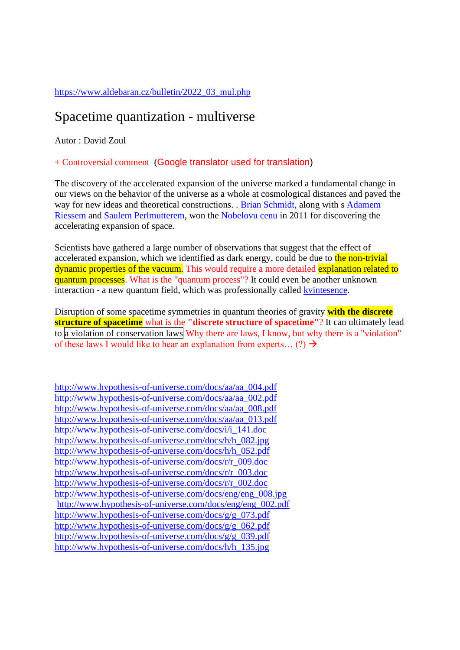### [https://www.aldebaran.cz/bulletin/2022\\_03\\_mul.php](https://www.aldebaran.cz/bulletin/2022_03_mul.php)

## Spacetime quantization - multiverse

Autor : David Zoul

### + Controversial comment (Google translator used for translation)

The discovery of the accelerated expansion of the universe marked a fundamental change in our views on the behavior of the universe as a whole at cosmological distances and paved the way for new ideas and theoretical constructions. . [Brian Schmidt,](https://www.aldebaran.cz/famous/people/Schmidt_Brian.php) along with s Adamem [Riessem](https://www.aldebaran.cz/famous/people/Riess_Adam.php) and [Saulem Perlmutterem,](https://www.aldebaran.cz/famous/people/Perlmutter_Saul.php) won the [Nobelovu cenu](https://www.aldebaran.cz/glossary/print.php?id=1389) in 2011 for discovering the accelerating expansion of space.

Scientists have gathered a large number of observations that suggest that the effect of accelerated expansion, which we identified as dark energy, could be due to the non-trivial dynamic properties of the vacuum. This would require a more detailed explanation related to quantum processes. What is the "quantum process"? It could even be another unknown interaction - a new quantum field, which was professionally called [kvintesence.](https://www.aldebaran.cz/glossary/print.php?id=175)

Disruption of some spacetime symmetries in quantum theories of gravity **with the discrete structure of spacetime** what is the **"discrete structure of spacetime"**? It can ultimately lead to a violation of conservation laws Why there are laws, I know, but why there is a "violation" of these laws I would like to hear an explanation from experts... (?)  $\rightarrow$ 

[http://www.hypothesis-of-universe.com/docs/aa/aa\\_004.pdf](http://www.hypothesis-of-universe.com/docs/aa/aa_004.pdf) [http://www.hypothesis-of-universe.com/docs/aa/aa\\_002.pdf](http://www.hypothesis-of-universe.com/docs/aa/aa_002.pdf) [http://www.hypothesis-of-universe.com/docs/aa/aa\\_008.pdf](http://www.hypothesis-of-universe.com/docs/aa/aa_008.pdf) [http://www.hypothesis-of-universe.com/docs/aa/aa\\_013.pdf](http://www.hypothesis-of-universe.com/docs/aa/aa_013.pdf) [http://www.hypothesis-of-universe.com/docs/i/i\\_141.doc](http://www.hypothesis-of-universe.com/docs/i/i_141.doc) [http://www.hypothesis-of-universe.com/docs/h/h\\_082.jpg](http://www.hypothesis-of-universe.com/docs/h/h_082.jpg) [http://www.hypothesis-of-universe.com/docs/h/h\\_052.pdf](http://www.hypothesis-of-universe.com/docs/h/h_052.doc) [http://www.hypothesis-of-universe.com/docs/r/r\\_009.doc](http://www.hypothesis-of-universe.com/docs/r/r_009.doc) [http://www.hypothesis-of-universe.com/docs/r/r\\_003.doc](http://www.hypothesis-of-universe.com/docs/r/r_003.doc) [http://www.hypothesis-of-universe.com/docs/r/r\\_002.doc](http://www.hypothesis-of-universe.com/docs/r/r_002.doc) [http://www.hypothesis-of-universe.com/docs/eng/eng\\_008.jpg](http://www.hypothesis-of-universe.com/docs/eng/eng_008.jpg) [http://www.hypothesis-of-universe.com/docs/eng/eng\\_002.pdf](http://www.hypothesis-of-universe.com/docs/eng/eng_002.doc) [http://www.hypothesis-of-universe.com/docs/g/g\\_073.pdf](http://www.hypothesis-of-universe.com/docs/g/g_073.pdf) [http://www.hypothesis-of-universe.com/docs/g/g\\_062.pdf](http://www.hypothesis-of-universe.com/docs/g/g_062.pdf) [http://www.hypothesis-of-universe.com/docs/g/g\\_039.pdf](http://www.hypothesis-of-universe.com/docs/g/g_039.pdf) [http://www.hypothesis-of-universe.com/docs/h/h\\_135.jpg](http://www.hypothesis-of-universe.com/docs/h/h_135.jpg)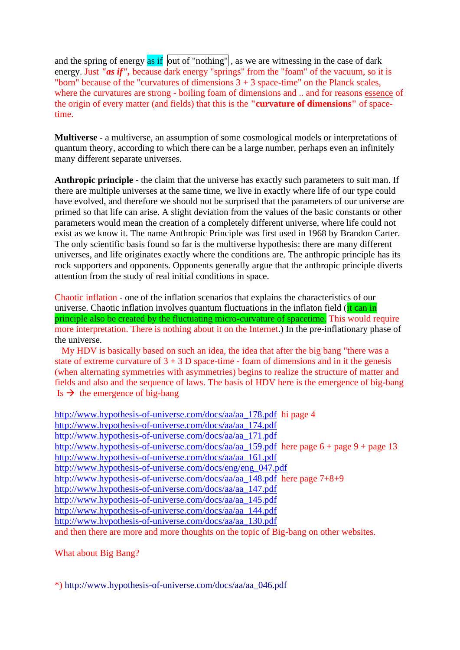and the spring of energy  $\overline{as}$  if  $\overline{out}$  of "nothing", as we are witnessing in the case of dark energy. Just *"as if"*, because dark energy "springs" from the "foam" of the vacuum, so it is "born" because of the "curvatures of dimensions  $3 + 3$  space-time" on the Planck scales, where the curvatures are strong - boiling foam of dimensions and .. and for reasons essence of the origin of every matter (and fields) that this is the **"curvature of dimensions"** of spacetime.

**Multiverse** - a multiverse, an assumption of some cosmological models or interpretations of quantum theory, according to which there can be a large number, perhaps even an infinitely many different separate universes.

**Anthropic principle** - the claim that the universe has exactly such parameters to suit man. If there are multiple universes at the same time, we live in exactly where life of our type could have evolved, and therefore we should not be surprised that the parameters of our universe are primed so that life can arise. A slight deviation from the values of the basic constants or other parameters would mean the creation of a completely different universe, where life could not exist as we know it. The name Anthropic Principle was first used in 1968 by Brandon Carter. The only scientific basis found so far is the multiverse hypothesis: there are many different universes, and life originates exactly where the conditions are. The anthropic principle has its rock supporters and opponents. Opponents generally argue that the anthropic principle diverts attention from the study of real initial conditions in space.

Chaotic inflation - one of the inflation scenarios that explains the characteristics of our universe. Chaotic inflation involves quantum fluctuations in the inflaton field (it can in principle also be created by the fluctuating micro-curvature of spacetime. This would require more interpretation. There is nothing about it on the Internet.) In the pre-inflationary phase of the universe.

 My HDV is basically based on such an idea, the idea that after the big bang "there was a state of extreme curvature of  $3 + 3$  D space-time - foam of dimensions and in it the genesis (when alternating symmetries with asymmetries) begins to realize the structure of matter and fields and also and the sequence of laws. The basis of HDV here is the emergence of big-bang Is  $\rightarrow$  the emergence of big-bang

```
http://www.hypothesis-of-universe.com/docs/aa/aa_178.pdf hi page 4
http://www.hypothesis-of-universe.com/docs/aa/aa_174.pdf
http://www.hypothesis-of-universe.com/docs/aa/aa_171.pdf
http://www.hypothesis-of-universe.com/docs/aa/aa_159.pdf here page 6 + page 9 + page 13
http://www.hypothesis-of-universe.com/docs/aa/aa_161.pdf
http://www.hypothesis-of-universe.com/docs/eng/eng_047.pdf
http://www.hypothesis-of-universe.com/docs/aa/aa_148.pdf here page 7+8+9
http://www.hypothesis-of-universe.com/docs/aa/aa_147.pdf
http://www.hypothesis-of-universe.com/docs/aa/aa_145.pdf
http://www.hypothesis-of-universe.com/docs/aa/aa_144.pdf
http://www.hypothesis-of-universe.com/docs/aa/aa_130.pdf
and then there are more and more thoughts on the topic of Big-bang on other websites.
```
What about Big Bang?

\*) [http://www.hypothesis-of-universe.com/docs/aa/aa\\_046.pdf](http://www.hypothesis-of-universe.com/docs/aa/aa_046.pdf)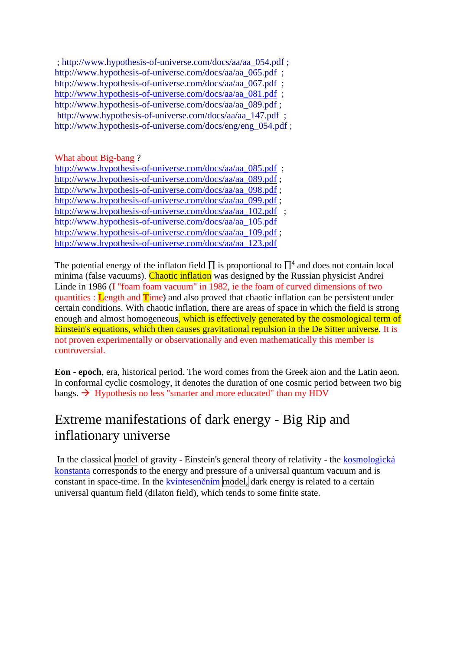; [http://www.hypothesis-of-universe.com/docs/aa/aa\\_054.pdf](http://www.hypothesis-of-universe.com/docs/aa/aa_054.pdf) ; [http://www.hypothesis-of-universe.com/docs/aa/aa\\_065.pdf](http://www.hypothesis-of-universe.com/docs/aa/aa_065.pdf) : [http://www.hypothesis-of-universe.com/docs/aa/aa\\_067.pdf](http://www.hypothesis-of-universe.com/docs/aa/aa_067.pdf) ; [http://www.hypothesis-of-universe.com/docs/aa/aa\\_081.pdf](http://www.hypothesis-of-universe.com/docs/aa/aa_081.pdf) ; [http://www.hypothesis-of-universe.com/docs/aa/aa\\_089.pdf](http://www.hypothesis-of-universe.com/docs/aa/aa_089.pdf) ; [http://www.hypothesis-of-universe.com/docs/aa/aa\\_147.pdf](http://www.hypothesis-of-universe.com/docs/aa/aa_147.pdf) : [http://www.hypothesis-of-universe.com/docs/eng/eng\\_054.pdf](http://www.hypothesis-of-universe.com/docs/eng/eng_054.pdf) ;

What about Big-bang ?

[http://www.hypothesis-of-universe.com/docs/aa/aa\\_085.pdf](http://www.hypothesis-of-universe.com/docs/aa/aa_085.pdf) : [http://www.hypothesis-of-universe.com/docs/aa/aa\\_089.pdf](http://www.hypothesis-of-universe.com/docs/aa/aa_089.pdf) ; [http://www.hypothesis-of-universe.com/docs/aa/aa\\_098.pdf](http://www.hypothesis-of-universe.com/docs/aa/aa_098.pdf) ; [http://www.hypothesis-of-universe.com/docs/aa/aa\\_099.pdf](http://www.hypothesis-of-universe.com/docs/aa/aa_099.pdf) ; [http://www.hypothesis-of-universe.com/docs/aa/aa\\_102.pdf](http://www.hypothesis-of-universe.com/docs/aa/aa_102.pdf) ; [http://www.hypothesis-of-universe.com/docs/aa/aa\\_105.pdf](http://www.hypothesis-of-universe.com/docs/aa/aa_105.pdf) [http://www.hypothesis-of-universe.com/docs/aa/aa\\_109.pdf](http://www.hypothesis-of-universe.com/docs/aa/aa_109.pdf) ; [http://www.hypothesis-of-universe.com/docs/aa/aa\\_123.pdf](http://www.hypothesis-of-universe.com/docs/aa/aa_123.pdf)

The potential energy of the inflaton field  $\Pi$  is proportional to  $\Pi^4$  and does not contain local minima (false vacuums). Chaotic inflation was designed by the Russian physicist Andrei Linde in 1986 (I "foam foam vacuum" in 1982, ie the foam of curved dimensions of two quantities : **L**ength and **T**ime) and also proved that chaotic inflation can be persistent under certain conditions. With chaotic inflation, there are areas of space in which the field is strong enough and almost homogeneous, which is effectively generated by the cosmological term of Einstein's equations, which then causes gravitational repulsion in the De Sitter universe. It is not proven experimentally or observationally and even mathematically this member is controversial.

**Eon - epoch**, era, historical period. The word comes from the Greek aion and the Latin aeon. In conformal cyclic cosmology, it denotes the duration of one cosmic period between two big bangs.  $\rightarrow$  Hypothesis no less "smarter and more educated" than my HDV

# Extreme manifestations of dark energy - Big Rip and inflationary universe

In the classical model of gravity - Einstein's general theory of relativity - the kosmologická [konstanta](https://www.aldebaran.cz/glossary/print.php?id=1611) corresponds to the energy and pressure of a universal quantum vacuum and is constant in space-time. In the <u>kvintesenčním</u> model, dark energy is related to a certain universal quantum field (dilaton field), which tends to some finite state.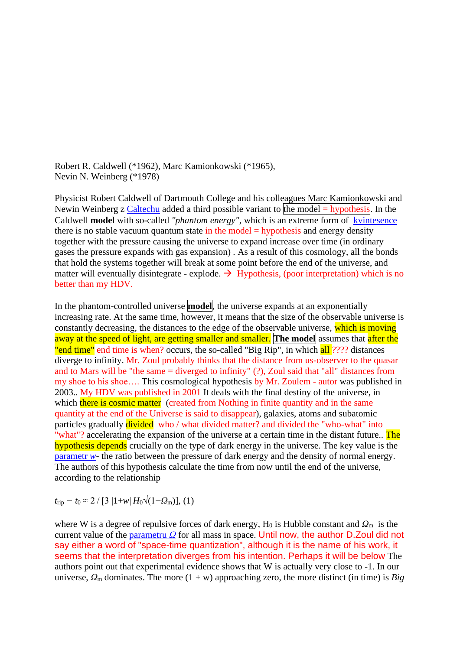Robert R. Caldwell (\*1962), Marc Kamionkowski (\*1965), Nevin N. Weinberg (\*1978)

Physicist Robert Caldwell of Dartmouth College and his colleagues Marc Kamionkowski and Newin Weinberg z [Caltechu](https://www.aldebaran.cz/glossary/print.php?id=1287) added a third possible variant to the model  $=$  hypothesis. In the Caldwell **model** with so-called "phantom energy", which is an extreme form of [kvintesence](https://www.aldebaran.cz/glossary/print.php?id=175) there is no stable vacuum quantum state in the model  $=$  hypothesis and energy density together with the pressure causing the universe to expand increase over time (in ordinary gases the pressure expands with gas expansion) . As a result of this cosmology, all the bonds that hold the systems together will break at some point before the end of the universe, and matter will eventually disintegrate - explode.  $\rightarrow$  Hypothesis, (poor interpretation) which is no better than my HDV.

In the phantom-controlled universe **model**, the universe expands at an exponentially increasing rate. At the same time, however, it means that the size of the observable universe is constantly decreasing, the distances to the edge of the observable universe, which is moving away at the speed of light, are getting smaller and smaller. **The model** assumes that after the "end time" end time is when? occurs, the so-called "Big Rip", in which all ???? distances diverge to infinity. Mr. Zoul probably thinks that the distance from us-observer to the quasar and to Mars will be "the same = diverged to infinity" (?), Zoul said that "all" distances from my shoe to his shoe…. This cosmological hypothesis by Mr. Zoulem - autor was published in 2003.. My HDV was published in 2001 It deals with the final destiny of the universe, in which there is cosmic matter (created from Nothing in finite quantity and in the same quantity at the end of the Universe is said to disappear), galaxies, atoms and subatomic particles gradually divided who / what divided matter? and divided the "who-what" into "what"? accelerating the expansion of the universe at a certain time in the distant future.. The hypothesis depends crucially on the type of dark energy in the universe. The key value is the [parametr](https://www.aldebaran.cz/glossary/print.php?id=4) *w*- the ratio between the pressure of dark energy and the density of normal energy. The authors of this hypothesis calculate the time from now until the end of the universe, according to the relationship

 $t_{\text{rip}} - t_0 \approx 2 / [3 |1+w| H_0 \sqrt{(1-Q_{\text{m}})}], (1)$ 

where W is a degree of repulsive forces of dark energy, H<sub>0</sub> is Hubble constant and  $Q<sub>m</sub>$  is the current value of the [parametru](https://www.aldebaran.cz/glossary/print.php?id=250) *Ω* for all mass in space. Until now, the author D.Zoul did not say either a word of "space-time quantization", although it is the name of his work, it seems that the interpretation diverges from his intention. Perhaps it will be below The authors point out that experimental evidence shows that W is actually very close to -1. In our universe,  $\Omega_{\rm m}$  dominates. The more (1 + w) approaching zero, the more distinct (in time) is *Big*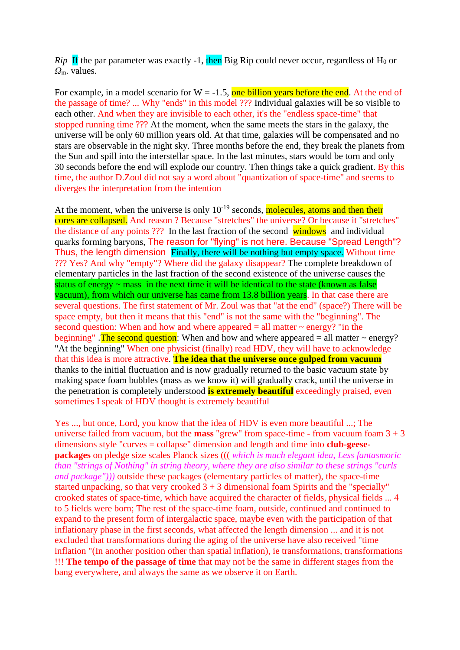*Rip* If the par parameter was exactly -1, then Big Rip could never occur, regardless of  $H_0$  or *Ω*m. values.

For example, in a model scenario for  $W = -1.5$ , one billion years before the end. At the end of the passage of time? ... Why "ends" in this model ??? Individual galaxies will be so visible to each other. And when they are invisible to each other, it's the "endless space-time" that stopped running time ??? At the moment, when the same meets the stars in the galaxy, the universe will be only 60 million years old. At that time, galaxies will be compensated and no stars are observable in the night sky. Three months before the end, they break the planets from the Sun and spill into the interstellar space. In the last minutes, stars would be torn and only 30 seconds before the end will explode our country. Then things take a quick gradient. By this time, the author D.Zoul did not say a word about "quantization of space-time" and seems to diverges the interpretation from the intention

At the moment, when the universe is only  $10^{-19}$  seconds, molecules, atoms and then their cores are collapsed. And reason ? Because "stretches" the universe? Or because it "stretches" the distance of any points ??? In the last fraction of the second windows and individual quarks forming baryons, The reason for "flying" is not here. Because "Spread Length"? Thus, the length dimension Finally, there will be nothing but empty space. Without time ??? Yes? And why "empty"? Where did the galaxy disappear? The complete breakdown of elementary particles in the last fraction of the second existence of the universe causes the status of energy  $\sim$  mass in the next time it will be identical to the state (known as false vacuum), from which our universe has came from 13.8 billion years. In that case there are several questions. The first statement of Mr. Zoul was that "at the end" (space?) There will be space empty, but then it means that this "end" is not the same with the "beginning". The second question: When and how and where appeared  $=$  all matter  $\sim$  energy? "in the beginning". The second question: When and how and where appeared  $=$  all matter  $\sim$  energy? "At the beginning" When one physicist (finally) read HDV, they will have to acknowledge that this idea is more attractive. **The idea that the universe once gulped from vacuum** thanks to the initial fluctuation and is now gradually returned to the basic vacuum state by making space foam bubbles (mass as we know it) will gradually crack, until the universe in the penetration is completely understood **is extremely beautiful** exceedingly praised, even sometimes I speak of HDV thought is extremely beautiful

Yes ..., but once, Lord, you know that the idea of HDV is even more beautiful ...; The universe failed from vacuum, but the **mass** "grew" from space-time - from vacuum foam  $3 + 3$ dimensions style "curves = collapse" dimension and length and time into **club-geesepackages** on pledge size scales Planck sizes ((( *which is much elegant idea, Less fantasmoric than "strings of Nothing" in string theory, where they are also similar to these strings "curls and package")))* outside these packages (elementary particles of matter), the space-time started unpacking, so that very crooked  $3 + 3$  dimensional foam Spirits and the "specially" crooked states of space-time, which have acquired the character of fields, physical fields ... 4 to 5 fields were born; The rest of the space-time foam, outside, continued and continued to expand to the present form of intergalactic space, maybe even with the participation of that inflationary phase in the first seconds, what affected the length dimension ... and it is not excluded that transformations during the aging of the universe have also received "time inflation "(In another position other than spatial inflation), ie transformations, transformations !!! **The tempo of the passage of time** that may not be the same in different stages from the bang everywhere, and always the same as we observe it on Earth.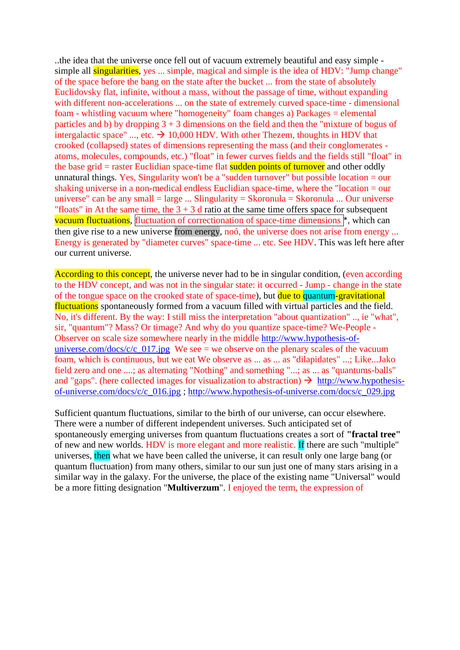..the idea that the universe once fell out of vacuum extremely beautiful and easy simple simple all **singularities**, yes ... simple, magical and simple is the idea of HDV: "Jump change" of the space before the bang on the state after the bucket ... from the state of absolutely Euclidovsky flat, infinite, without a mass, without the passage of time, without expanding with different non-accelerations ... on the state of extremely curved space-time - dimensional foam - whistling vacuum where "homogeneity" foam changes a) Packages = elemental particles and b) by dropping  $3 + 3$  dimensions on the field and then the "mixture of bogus of intergalactic space" ..., etc.  $\rightarrow$  10,000 HDV. With other Thezem, thoughts in HDV that crooked (collapsed) states of dimensions representing the mass (and their conglomerates atoms, molecules, compounds, etc.) "float" in fewer curves fields and the fields still "float" in the base grid  $=$  raster Euclidian space-time flat sudden points of turnover and other oddly unnatural things. Yes, Singularity won't be a "sudden turnover" but possible location = our shaking universe in a non-medical endless Euclidian space-time, where the "location = our universe" can be any small  $=$  large ... Slingularity  $=$  Skoronula  $=$  Skoronula ... Our universe "floats" in At the same time, the  $3 + 3$  d ratio at the same time offers space for subsequent vacuum fluctuations, fluctuation of correctionation of space-time dimensions \*, which can then give rise to a new universe from energy, noó, the universe does not arise from energy ... Energy is generated by "diameter curves" space-time ... etc. See HDV. This was left here after our current universe.

According to this concept, the universe never had to be in singular condition, (even according to the HDV concept, and was not in the singular state: it occurred - Jump - change in the state of the tongue space on the crooked state of space-time), but due to quantum-gravitational fluctuations spontaneously formed from a vacuum filled with virtual particles and the field. No, it's different. By the way: I still miss the interpretation "about quantization" .., ie "what", sir, "quantum"? Mass? Or timage? And why do you quantize space-time? We-People - Observer on scale size somewhere nearly in the middle [http://www.hypothesis-of](http://www.hypothesis-of-universe.com/docs/c/c_017.jpg)[universe.com/docs/c/c\\_017.jpg](http://www.hypothesis-of-universe.com/docs/c/c_017.jpg) We see = we observe on the plenary scales of the vacuum foam, which is continuous, but we eat We observe as ... as ... as "dilapidates" ...; Like...Jako field zero and one ....; as alternating "Nothing" and something "...; as ... as "quantums-balls" and "gaps". (here collected images for visualization to abstraction)  $\rightarrow$  [http://www.hypothesis](http://www.hypothesis-of-universe.com/docs/c/c_016.jpg)[of-universe.com/docs/c/c\\_016.jpg](http://www.hypothesis-of-universe.com/docs/c/c_016.jpg) ; [http://www.hypothesis-of-universe.com/docs/c\\_029.jpg](http://www.hypothesis-of-universe.com/docs/c_029.jpg)

Sufficient quantum fluctuations, similar to the birth of our universe, can occur elsewhere. There were a number of different independent universes. Such anticipated set of spontaneously emerging universes from quantum fluctuations creates a sort of **"fractal tree"** of new and new worlds. HDV is more elegant and more realistic. If there are such "multiple" universes, then what we have been called the universe, it can result only one large bang (or quantum fluctuation) from many others, similar to our sun just one of many stars arising in a similar way in the galaxy. For the universe, the place of the existing name "Universal" would be a more fitting designation "**Multiverzum**". I enjoyed the term, the expression of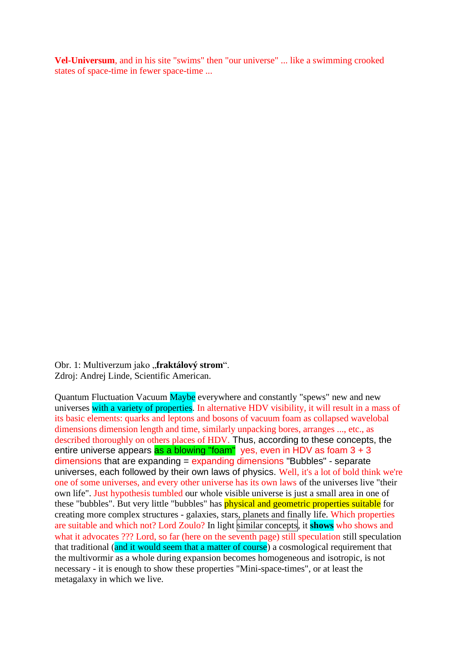**Vel-Universum**, and in his site "swims" then "our universe" ... like a swimming crooked states of space-time in fewer space-time ...

Obr. 1: Multiverzum jako "fraktálový strom". Zdroj: Andrej Linde, Scientific American.

Quantum Fluctuation Vacuum Maybe everywhere and constantly "spews" new and new universes with a variety of properties. In alternative HDV visibility, it will result in a mass of its basic elements: quarks and leptons and bosons of vacuum foam as collapsed wavelobal dimensions dimension length and time, similarly unpacking bores, arranges ..., etc., as described thoroughly on others places of HDV. Thus, according to these concepts, the entire universe appears as a blowing "foam" yes, even in HDV as foam  $3 + 3$ dimensions that are expanding = expanding dimensions "Bubbles" - separate universes, each followed by their own laws of physics. Well, it's a lot of bold think we're one of some universes, and every other universe has its own laws of the universes live "their own life". Just hypothesis tumbled our whole visible universe is just a small area in one of these "bubbles". But very little "bubbles" has **physical and geometric properties suitable** for creating more complex structures - galaxies, stars, planets and finally life. Which properties are suitable and which not? Lord Zoulo? In light similar concepts, it **shows** who shows and what it advocates ??? Lord, so far (here on the seventh page) still speculation still speculation that traditional (and it would seem that a matter of course) a cosmological requirement that the multivormir as a whole during expansion becomes homogeneous and isotropic, is not necessary - it is enough to show these properties "Mini-space-times", or at least the metagalaxy in which we live.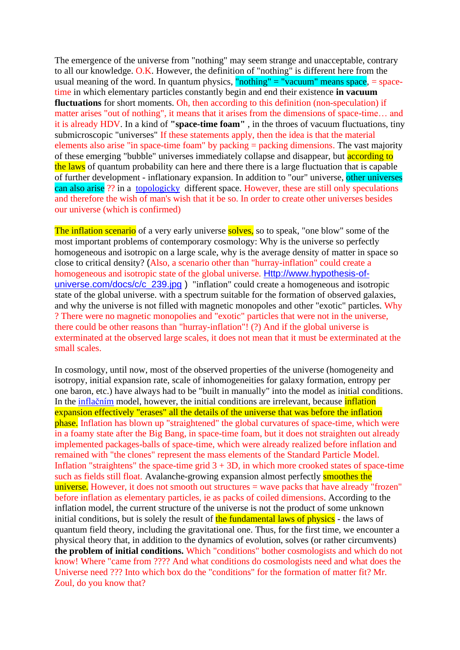The emergence of the universe from "nothing" may seem strange and unacceptable, contrary to all our knowledge. O.K. However, the definition of "nothing" is different here from the usual meaning of the word. In quantum physics, "nothing" = "vacuum" means space,  $=$  spacetime in which elementary particles constantly begin and end their existence **in vacuum fluctuations** for short moments. Oh, then according to this definition (non-speculation) if matter arises "out of nothing", it means that it arises from the dimensions of space-time… and it is already HDV. In a kind of **"space-time foam"** , in the throes of vacuum fluctuations, tiny submicroscopic "universes" If these statements apply, then the idea is that the material elements also arise "in space-time foam" by packing  $=$  packing dimensions. The vast majority of these emerging "bubble" universes immediately collapse and disappear, but **according to** the laws of quantum probability can here and there there is a large fluctuation that is capable of further development - inflationary expansion. In addition to "our" universe, other universes can also arise ?? in a [topologicky](https://www.aldebaran.cz/glossary/print.php?id=354) different space. However, these are still only speculations and therefore the wish of man's wish that it be so. In order to create other universes besides our universe (which is confirmed)

The inflation scenario of a very early universe solves, so to speak, "one blow" some of the most important problems of contemporary cosmology: Why is the universe so perfectly homogeneous and isotropic on a large scale, why is the average density of matter in space so close to critical density? (Also, a scenario other than "hurray-inflation" could create a homogeneous and isotropic state of the global universe. [Http://www.hypothesis-of](http://www.hypothesis-of-universe.com/docs/c/c_239.jpg)universe.com/docs/c/c 239.jpg ) "inflation" could create a homogeneous and isotropic state of the global universe. with a spectrum suitable for the formation of observed galaxies, and why the universe is not filled with magnetic monopoles and other "exotic" particles. Why ? There were no magnetic monopolies and "exotic" particles that were not in the universe, there could be other reasons than "hurray-inflation"! (?) And if the global universe is exterminated at the observed large scales, it does not mean that it must be exterminated at the small scales.

In cosmology, until now, most of the observed properties of the universe (homogeneity and isotropy, initial expansion rate, scale of inhomogeneities for galaxy formation, entropy per one baron, etc.) have always had to be "built in manually" into the model as initial conditions. In the [inflačním](https://www.aldebaran.cz/glossary/print.php?id=730) model, however, the initial conditions are irrelevant, because inflation expansion effectively "erases" all the details of the universe that was before the inflation phase. Inflation has blown up "straightened" the global curvatures of space-time, which were in a foamy state after the Big Bang, in space-time foam, but it does not straighten out already implemented packages-balls of space-time, which were already realized before inflation and remained with "the clones" represent the mass elements of the Standard Particle Model. Inflation "straightens" the space-time grid  $3 + 3D$ , in which more crooked states of space-time such as fields still float. Avalanche-growing expansion almost perfectly smoothes the universe. However, it does not smooth out structures  $=$  wave packs that have already "frozen" before inflation as elementary particles, ie as packs of coiled dimensions. According to the inflation model, the current structure of the universe is not the product of some unknown initial conditions, but is solely the result of the fundamental laws of physics - the laws of quantum field theory, including the gravitational one. Thus, for the first time, we encounter a physical theory that, in addition to the dynamics of evolution, solves (or rather circumvents) **the problem of initial conditions.** Which "conditions" bother cosmologists and which do not know! Where "came from ???? And what conditions do cosmologists need and what does the Universe need ??? Into which box do the "conditions" for the formation of matter fit? Mr. Zoul, do you know that?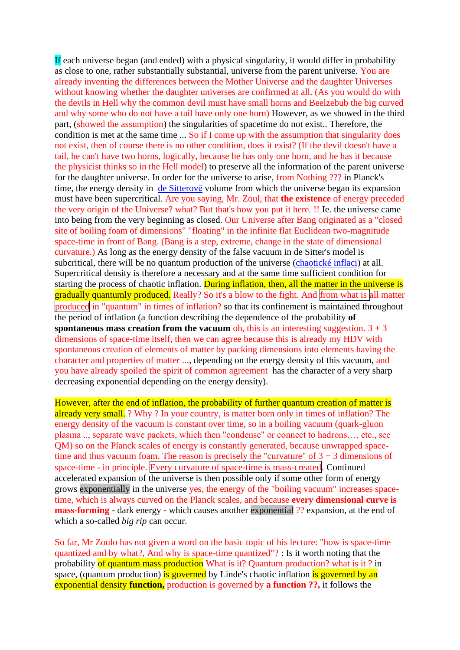If each universe began (and ended) with a physical singularity, it would differ in probability as close to one, rather substantially substantial, universe from the parent universe. You are already inventing the differences between the Mother Universe and the daughter Universes without knowing whether the daughter universes are confirmed at all. (As you would do with the devils in Hell why the common devil must have small horns and Beelzebub the big curved and why some who do not have a tail have only one horn) However, as we showed in the third part, (showed the assumption) the singularities of spacetime do not exist.. Therefore, the condition is met at the same time ... So if I come up with the assumption that singularity does not exist, then of course there is no other condition, does it exist? (If the devil doesn't have a tail, he can't have two horns, logically, because he has only one horn, and he has it because the physicist thinks so in the Hell model) to preserve all the information of the parent universe for the daughter universe. In order for the universe to arise, from Nothing ??? in Planck's time, the energy density in de [Sitterově](https://www.aldebaran.cz/glossary/print.php?id=2525) volume from which the universe began its expansion must have been supercritical. Are you saying, Mr. Zoul, that **the existence** of energy preceded the very origin of the Universe? what? But that's how you put it here. !! Ie. the universe came into being from the very beginning as closed. Our Universe after Bang originated as a "closed site of boiling foam of dimensions" "floating" in the infinite flat Euclidean two-magnitude space-time in front of Bang. (Bang is a step, extreme, change in the state of dimensional curvature.) As long as the energy density of the false vacuum in de Sitter's model is subcritical, there will be no quantum production of the universe [\(chaotické inflaci\)](https://www.aldebaran.cz/glossary/print.php?id=1781) at all. Supercritical density is therefore a necessary and at the same time sufficient condition for starting the process of chaotic inflation. During inflation, then, all the matter in the universe is gradually quantumly produced. Really? So it's a blow to the fight. And from what is all matter produced in "quantum" in times of inflation? so that its confinement is maintained throughout the period of inflation (a function describing the dependence of the probability **of spontaneous mass creation from the vacuum**  $\phi$ **h**, this is an interesting suggestion.  $3 + 3$ dimensions of space-time itself, then we can agree because this is already my HDV with spontaneous creation of elements of matter by packing dimensions into elements having the character and properties of matter ..., depending on the energy density of this vacuum, and you have already spoiled the spirit of common agreement has the character of a very sharp decreasing exponential depending on the energy density).

However, after the end of inflation, the probability of further quantum creation of matter is already very small. ? Why ? In your country, is matter born only in times of inflation? The energy density of the vacuum is constant over time, so in a boiling vacuum (quark-gluon plasma .., separate wave packets, which then "condense" or connect to hadrons…, etc., see QM) so on the Planck scales of energy is constantly generated, because unwrapped spacetime and thus vacuum foam. The reason is precisely the "curvature" of  $3 + 3$  dimensions of space-time - in principle. Every curvature of space-time is mass-created. Continued accelerated expansion of the universe is then possible only if some other form of energy grows exponentially in the universe yes, the energy of the "boiling vacuum" increases spacetime, which is always curved on the Planck scales, and because **every dimensional curve is mass-forming** - dark energy - which causes another exponential ?? expansion, at the end of which a so-called *big rip* can occur.

So far, Mr Zoulo has not given a word on the basic topic of his lecture: "how is space-time quantized and by what?, And why is space-time quantized"? : Is it worth noting that the probability of quantum mass production What is it? Quantum production? what is it ? in space, (quantum production) is governed by Linde's chaotic inflation is governed by an exponential density **function,** production is governed by **a function ??,** it follows the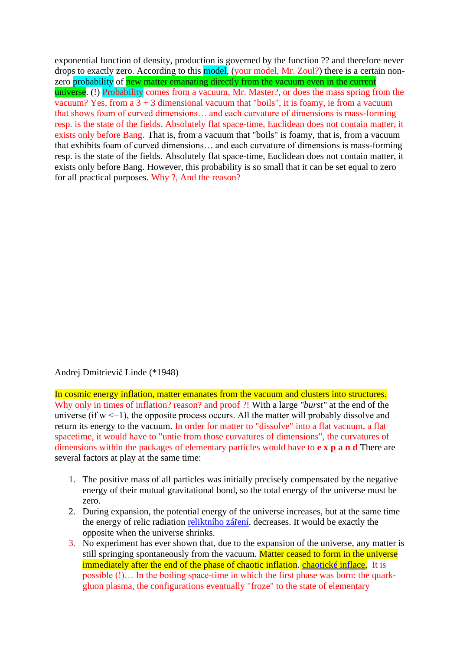exponential function of density, production is governed by the function ?? and therefore never drops to exactly zero. According to this model, (your model, Mr. Zoul?) there is a certain nonzero probability of new matter emanating directly from the vacuum even in the current universe. (!) Probability comes from a vacuum, Mr. Master?, or does the mass spring from the vacuum? Yes, from a  $3 + 3$  dimensional vacuum that "boils", it is foamy, ie from a vacuum that shows foam of curved dimensions… and each curvature of dimensions is mass-forming resp. is the state of the fields. Absolutely flat space-time, Euclidean does not contain matter, it exists only before Bang. That is, from a vacuum that "boils" is foamy, that is, from a vacuum that exhibits foam of curved dimensions… and each curvature of dimensions is mass-forming resp. is the state of the fields. Absolutely flat space-time, Euclidean does not contain matter, it exists only before Bang. However, this probability is so small that it can be set equal to zero for all practical purposes. Why ?, And the reason?

Andrej Dmitrievič Linde (\*1948)

In cosmic energy inflation, matter emanates from the vacuum and clusters into structures. Why only in times of inflation? reason? and proof ?! With a large *"burst"* at the end of the universe (if  $w \le -1$ ), the opposite process occurs. All the matter will probably dissolve and return its energy to the vacuum. In order for matter to "dissolve" into a flat vacuum, a flat spacetime, it would have to "untie from those curvatures of dimensions", the curvatures of dimensions within the packages of elementary particles would have to **e x p a n d** There are several factors at play at the same time:

- 1. The positive mass of all particles was initially precisely compensated by the negative energy of their mutual gravitational bond, so the total energy of the universe must be zero.
- 2. During expansion, the potential energy of the universe increases, but at the same time the energy of relic radiation [reliktního záření.](https://www.aldebaran.cz/glossary/print.php?id=967) decreases. It would be exactly the opposite when the universe shrinks.
- 3. No experiment has ever shown that, due to the expansion of the universe, any matter is still springing spontaneously from the vacuum. Matter ceased to form in the universe immediately after the end of the phase of chaotic inflation. [chaotické inflace,](https://www.aldebaran.cz/glossary/print.php?id=1781) It is possible (!)… In the boiling space-time in which the first phase was born: the quarkgluon plasma, the configurations eventually "froze" to the state of elementary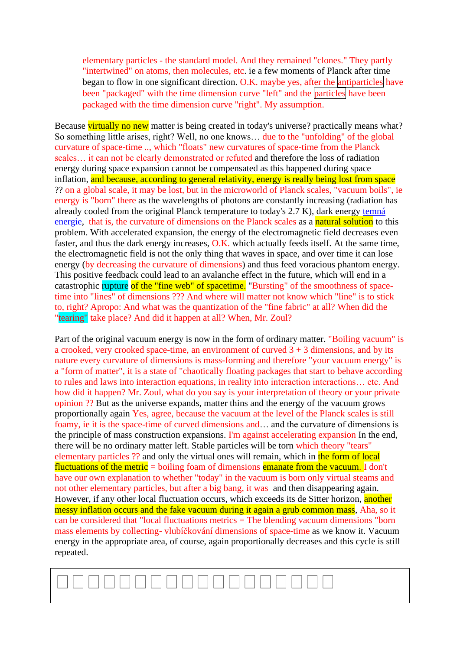elementary particles - the standard model. And they remained "clones." They partly "intertwined" on atoms, then molecules, etc. ie a few moments of Planck after time began to flow in one significant direction. O.K. maybe yes, after the antiparticles have been "packaged" with the time dimension curve "left" and the particles have been packaged with the time dimension curve "right". My assumption.

Because virtually no new matter is being created in today's universe? practically means what? So something little arises, right? Well, no one knows… due to the "unfolding" of the global curvature of space-time .., which "floats" new curvatures of space-time from the Planck scales… it can not be clearly demonstrated or refuted and therefore the loss of radiation energy during space expansion cannot be compensated as this happened during space inflation, and because, according to general relativity, energy is really being lost from space ?? on a global scale, it may be lost, but in the microworld of Planck scales, "vacuum boils", ie energy is "born" there as the wavelengths of photons are constantly increasing (radiation has already cooled from the original Planck temperature to today's 2.7 K), dark energy [temná](https://www.aldebaran.cz/glossary/print.php?id=729)  [energie,](https://www.aldebaran.cz/glossary/print.php?id=729) that is, the curvature of dimensions on the Planck scales as a natural solution to this problem. With accelerated expansion, the energy of the electromagnetic field decreases even faster, and thus the dark energy increases, O.K. which actually feeds itself. At the same time, the electromagnetic field is not the only thing that waves in space, and over time it can lose energy (by decreasing the curvature of dimensions) and thus feed voracious phantom energy. This positive feedback could lead to an avalanche effect in the future, which will end in a catastrophic rupture of the "fine web" of spacetime. "Bursting" of the smoothness of spacetime into "lines" of dimensions ??? And where will matter not know which "line" is to stick to, right? Apropo: And what was the quantization of the "fine fabric" at all? When did the "tearing" take place? And did it happen at all? When, Mr. Zoul?

Part of the original vacuum energy is now in the form of ordinary matter. "Boiling vacuum" is a crooked, very crooked space-time, an environment of curved  $3 + 3$  dimensions, and by its nature every curvature of dimensions is mass-forming and therefore "your vacuum energy" is a "form of matter", it is a state of "chaotically floating packages that start to behave according to rules and laws into interaction equations, in reality into interaction interactions… etc. And how did it happen? Mr. Zoul, what do you say is your interpretation of theory or your private opinion ?? But as the universe expands, matter thins and the energy of the vacuum grows proportionally again Yes, agree, because the vacuum at the level of the Planck scales is still foamy, ie it is the space-time of curved dimensions and… and the curvature of dimensions is the principle of mass construction expansions. I'm against accelerating expansion In the end, there will be no ordinary matter left. Stable particles will be torn which theory "tears" elementary particles ?? and only the virtual ones will remain, which in the form of local fluctuations of the metric = boiling foam of dimensions emanate from the vacuum. I don't have our own explanation to whether "today" in the vacuum is born only virtual steams and not other elementary particles, but after a big bang, it was and then disappearing again. However, if any other local fluctuation occurs, which exceeds its de Sitter horizon, another messy inflation occurs and the fake vacuum during it again a grub common mass, Aha, so it can be considered that "local fluctuations metrics = The blending vacuum dimensions "born mass elements by collecting- vlubíčkování dimensions of space-time as we know it. Vacuum energy in the appropriate area, of course, again proportionally decreases and this cycle is still repeated.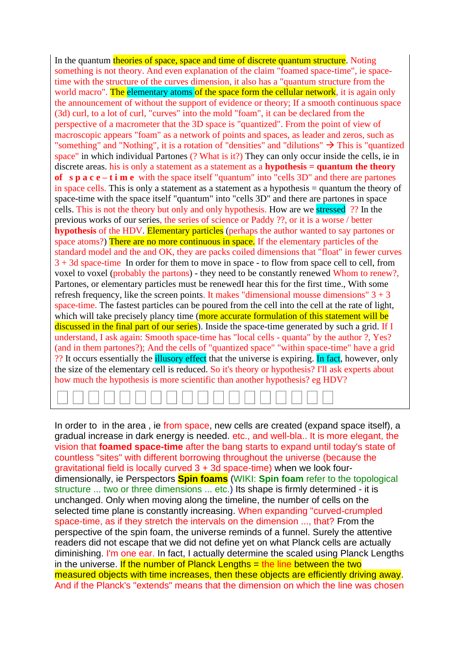In the quantum theories of space, space and time of discrete quantum structure. Noting something is not theory. And even explanation of the claim "foamed space-time", ie spacetime with the structure of the curves dimension, it also has a "quantum structure from the world macro". The elementary atoms of the space form the cellular network, it is again only the announcement of without the support of evidence or theory; If a smooth continuous space (3d) curl, to a lot of curl, "curves" into the mold "foam", it can be declared from the perspective of a macrometer that the 3D space is "quantized". From the point of view of macroscopic appears "foam" as a network of points and spaces, as leader and zeros, such as "something" and "Nothing", it is a rotation of "densities" and "dilutions"  $\rightarrow$  This is "quantized" space" in which individual Partones (? What is it?) They can only occur inside the cells, ie in discrete areas. his is only a statement as a statement as a **hypothesis = quantum the theory of** s **p** a c e – **t** i **m** e with the space itself "quantum" into "cells 3D" and there are partones in space cells. This is only a statement as a statement as a hypothesis = quantum the theory of space-time with the space itself "quantum" into "cells 3D" and there are partones in space cells. This is not the theory but only and only hypothesis. How are we stressed ?? In the previous works of our series, the series of science or Paddy ??, or it is a worse / better **hypothesis** of the HDV. Elementary particles (perhaps the author wanted to say partones or space atoms?) There are no more continuous in space. If the elementary particles of the standard model and the and OK, they are packs coiled dimensions that "float" in fewer curves 3 + 3d space-time In order for them to move in space - to flow from space cell to cell, from voxel to voxel (probably the partons) - they need to be constantly renewed Whom to renew?, Partones, or elementary particles must be renewedI hear this for the first time., With some refresh frequency, like the screen points. It makes "dimensional mousse dimensions"  $3 + 3$ space-time. The fastest particles can be poured from the cell into the cell at the rate of light, which will take precisely plancy time (more accurate formulation of this statement will be discussed in the final part of our series). Inside the space-time generated by such a grid. If I understand, I ask again: Smooth space-time has "local cells - quanta" by the author ?, Yes? (and in them partones?); And the cells of "quantized space" "within space-time" have a grid ?? It occurs essentially the illusory effect that the universe is expiring. In fact, however, only the size of the elementary cell is reduced. So it's theory or hypothesis? I'll ask experts about how much the hypothesis is more scientific than another hypothesis? eg HDV?

In order to in the area, ie from space, new cells are created (expand space itself), a gradual increase in dark energy is needed. etc., and well-bla.. It is more elegant, the vision that **foamed space-time** after the bang starts to expand until today's state of countless "sites" with different borrowing throughout the universe (because the gravitational field is locally curved 3 + 3d space-time) when we look fourdimensionally, ie Perspectors **Spin foams** (WIKI: **Spin foam** refer to the topological structure ... two or three dimensions ... etc.) Its shape is firmly determined - it is unchanged. Only when moving along the timeline, the number of cells on the selected time plane is constantly increasing. When expanding "curved-crumpled space-time, as if they stretch the intervals on the dimension ..., that? From the perspective of the spin foam, the universe reminds of a funnel. Surely the attentive readers did not escape that we did not define yet on what Planck cells are actually diminishing. I'm one ear. In fact, I actually determine the scaled using Planck Lengths in the universe. If the number of Planck Lengths  $=$  the line between the two measured objects with time increases, then these objects are efficiently driving away. And if the Planck's "extends" means that the dimension on which the line was chosen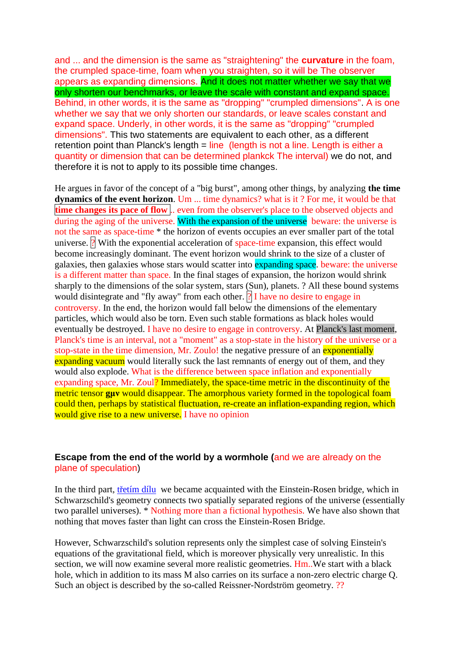and ... and the dimension is the same as "straightening" the **curvature** in the foam, the crumpled space-time, foam when you straighten, so it will be The observer appears as expanding dimensions. And it does not matter whether we say that we only shorten our benchmarks, or leave the scale with constant and expand space. Behind, in other words, it is the same as "dropping" "crumpled dimensions". A is one whether we say that we only shorten our standards, or leave scales constant and expand space. Underly, in other words, it is the same as "dropping" "crumpled dimensions". This two statements are equivalent to each other, as a different retention point than Planck's length  $=$  line (length is not a line. Length is either a quantity or dimension that can be determined plankck The interval) we do not, and therefore it is not to apply to its possible time changes.

He argues in favor of the concept of a "big burst", among other things, by analyzing **the time dynamics of the event horizon**. Um ... time dynamics? what is it ? For me, it would be that **time changes its pace of flow** .. even from the observer's place to the observed objects and during the aging of the universe. With the expansion of the universe beware: the universe is not the same as space-time \* the horizon of events occupies an ever smaller part of the total universe.  $\mathbb{R}$  With the exponential acceleration of space-time expansion, this effect would become increasingly dominant. The event horizon would shrink to the size of a cluster of galaxies, then galaxies whose stars would scatter into expanding space. beware: the universe is a different matter than space. In the final stages of expansion, the horizon would shrink sharply to the dimensions of the solar system, stars (Sun), planets. ? All these bound systems would disintegrate and "fly away" from each other.  $\sqrt{2}$  I have no desire to engage in controversy. In the end, the horizon would fall below the dimensions of the elementary particles, which would also be torn. Even such stable formations as black holes would eventually be destroyed. I have no desire to engage in controversy. At Planck's last moment, Planck's time is an interval, not a "moment" as a stop-state in the history of the universe or a stop-state in the time dimension, Mr. Zoulo! the negative pressure of an exponentially expanding vacuum would literally suck the last remnants of energy out of them, and they would also explode. What is the difference between space inflation and exponentially expanding space, Mr. Zoul? Immediately, the space-time metric in the discontinuity of the metric tensor **guy** would disappear. The amorphous variety formed in the topological foam could then, perhaps by statistical fluctuation, re-create an inflation-expanding region, which would give rise to a new universe. I have no opinion

### **Escape from the end of the world by a wormhole (**and we are already on the plane of speculation)

In the third part, tretificant dilum we became acquainted with the Einstein-Rosen bridge, which in Schwarzschild's geometry connects two spatially separated regions of the universe (essentially two parallel universes). \* Nothing more than a fictional hypothesis. We have also shown that nothing that moves faster than light can cross the Einstein-Rosen Bridge.

However, Schwarzschild's solution represents only the simplest case of solving Einstein's equations of the gravitational field, which is moreover physically very unrealistic. In this section, we will now examine several more realistic geometries. Hm..We start with a black hole, which in addition to its mass M also carries on its surface a non-zero electric charge Q. Such an object is described by the so-called Reissner-Nordström geometry. ??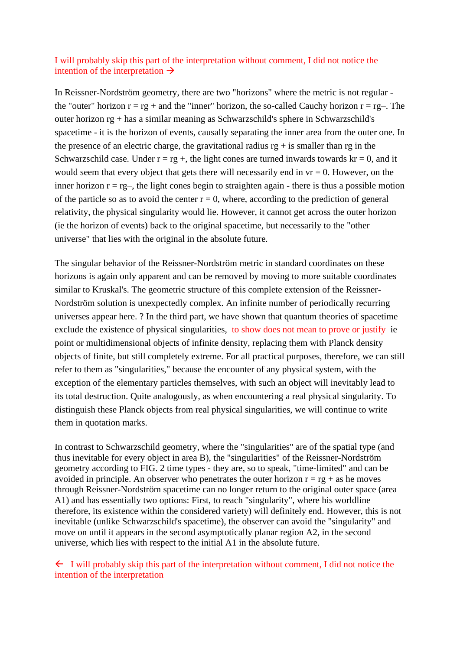### I will probably skip this part of the interpretation without comment, I did not notice the intention of the interpretation  $\rightarrow$

In Reissner-Nordström geometry, there are two "horizons" where the metric is not regular the "outer" horizon  $r = rg + and$  the "inner" horizon, the so-called Cauchy horizon  $r = rg-$ . The outer horizon rg + has a similar meaning as Schwarzschild's sphere in Schwarzschild's spacetime - it is the horizon of events, causally separating the inner area from the outer one. In the presence of an electric charge, the gravitational radius  $rg + is$  smaller than rg in the Schwarzschild case. Under  $r = rg +$ , the light cones are turned inwards towards  $kr = 0$ , and it would seem that every object that gets there will necessarily end in  $vr = 0$ . However, on the inner horizon  $r = rg-$ , the light cones begin to straighten again - there is thus a possible motion of the particle so as to avoid the center  $r = 0$ , where, according to the prediction of general relativity, the physical singularity would lie. However, it cannot get across the outer horizon (ie the horizon of events) back to the original spacetime, but necessarily to the "other universe" that lies with the original in the absolute future.

The singular behavior of the Reissner-Nordström metric in standard coordinates on these horizons is again only apparent and can be removed by moving to more suitable coordinates similar to Kruskal's. The geometric structure of this complete extension of the Reissner-Nordström solution is unexpectedly complex. An infinite number of periodically recurring universes appear here. ? In the third part, we have shown that quantum theories of spacetime exclude the existence of physical singularities, to show does not mean to prove or justify ie point or multidimensional objects of infinite density, replacing them with Planck density objects of finite, but still completely extreme. For all practical purposes, therefore, we can still refer to them as "singularities," because the encounter of any physical system, with the exception of the elementary particles themselves, with such an object will inevitably lead to its total destruction. Quite analogously, as when encountering a real physical singularity. To distinguish these Planck objects from real physical singularities, we will continue to write them in quotation marks.

In contrast to Schwarzschild geometry, where the "singularities" are of the spatial type (and thus inevitable for every object in area B), the "singularities" of the Reissner-Nordström geometry according to FIG. 2 time types - they are, so to speak, "time-limited" and can be avoided in principle. An observer who penetrates the outer horizon  $r = rg + as$  he moves through Reissner-Nordström spacetime can no longer return to the original outer space (area A1) and has essentially two options: First, to reach "singularity", where his worldline therefore, its existence within the considered variety) will definitely end. However, this is not inevitable (unlike Schwarzschild's spacetime), the observer can avoid the "singularity" and move on until it appears in the second asymptotically planar region A2, in the second universe, which lies with respect to the initial A1 in the absolute future.

 $\leftarrow$  I will probably skip this part of the interpretation without comment, I did not notice the intention of the interpretation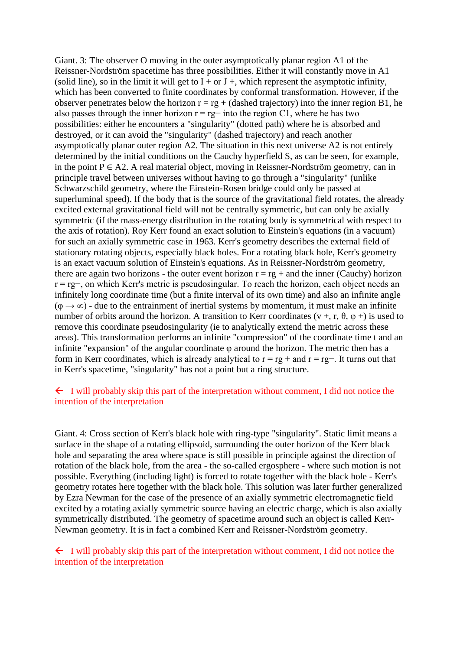Giant. 3: The observer O moving in the outer asymptotically planar region A1 of the Reissner-Nordström spacetime has three possibilities. Either it will constantly move in A1 (solid line), so in the limit it will get to  $I + or J +$ , which represent the asymptotic infinity, which has been converted to finite coordinates by conformal transformation. However, if the observer penetrates below the horizon  $r = rg + (dashed trajectory)$  into the inner region B1, he also passes through the inner horizon  $r = rg$  into the region C1, where he has two possibilities: either he encounters a "singularity" (dotted path) where he is absorbed and destroyed, or it can avoid the "singularity" (dashed trajectory) and reach another asymptotically planar outer region A2. The situation in this next universe A2 is not entirely determined by the initial conditions on the Cauchy hyperfield S, as can be seen, for example, in the point P ∈ A2. A real material object, moving in Reissner-Nordström geometry, can in principle travel between universes without having to go through a "singularity" (unlike Schwarzschild geometry, where the Einstein-Rosen bridge could only be passed at superluminal speed). If the body that is the source of the gravitational field rotates, the already excited external gravitational field will not be centrally symmetric, but can only be axially symmetric (if the mass-energy distribution in the rotating body is symmetrical with respect to the axis of rotation). Roy Kerr found an exact solution to Einstein's equations (in a vacuum) for such an axially symmetric case in 1963. Kerr's geometry describes the external field of stationary rotating objects, especially black holes. For a rotating black hole, Kerr's geometry is an exact vacuum solution of Einstein's equations. As in Reissner-Nordström geometry, there are again two horizons - the outer event horizon  $r = rg + and$  the inner (Cauchy) horizon r = rg−, on which Kerr's metric is pseudosingular. To reach the horizon, each object needs an infinitely long coordinate time (but a finite interval of its own time) and also an infinite angle  $(\varphi \rightarrow \infty)$  - due to the entrainment of inertial systems by momentum, it must make an infinite number of orbits around the horizon. A transition to Kerr coordinates ( $v +$ , r,  $\theta$ ,  $\varphi$  +) is used to remove this coordinate pseudosingularity (ie to analytically extend the metric across these areas). This transformation performs an infinite "compression" of the coordinate time t and an infinite "expansion" of the angular coordinate φ around the horizon. The metric then has a form in Kerr coordinates, which is already analytical to  $r = rg + and r = rg-$ . It turns out that in Kerr's spacetime, "singularity" has not a point but a ring structure.

#### $\leftarrow$  I will probably skip this part of the interpretation without comment, I did not notice the intention of the interpretation

Giant. 4: Cross section of Kerr's black hole with ring-type "singularity". Static limit means a surface in the shape of a rotating ellipsoid, surrounding the outer horizon of the Kerr black hole and separating the area where space is still possible in principle against the direction of rotation of the black hole, from the area - the so-called ergosphere - where such motion is not possible. Everything (including light) is forced to rotate together with the black hole - Kerr's geometry rotates here together with the black hole. This solution was later further generalized by Ezra Newman for the case of the presence of an axially symmetric electromagnetic field excited by a rotating axially symmetric source having an electric charge, which is also axially symmetrically distributed. The geometry of spacetime around such an object is called Kerr-Newman geometry. It is in fact a combined Kerr and Reissner-Nordström geometry.

### $\leftarrow$  I will probably skip this part of the interpretation without comment, I did not notice the intention of the interpretation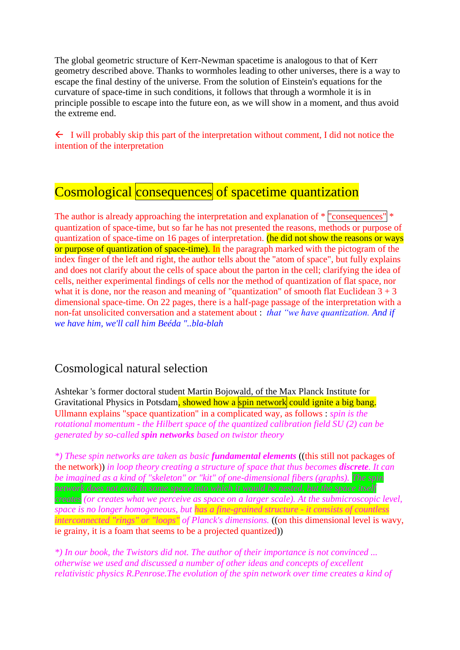The global geometric structure of Kerr-Newman spacetime is analogous to that of Kerr geometry described above. Thanks to wormholes leading to other universes, there is a way to escape the final destiny of the universe. From the solution of Einstein's equations for the curvature of space-time in such conditions, it follows that through a wormhole it is in principle possible to escape into the future eon, as we will show in a moment, and thus avoid the extreme end.

 $\leftarrow$  I will probably skip this part of the interpretation without comment, I did not notice the intention of the interpretation

# Cosmological consequences of spacetime quantization

The author is already approaching the interpretation and explanation of  $*$  "consequences"  $*$ quantization of space-time, but so far he has not presented the reasons, methods or purpose of quantization of space-time on 16 pages of interpretation. (he did not show the reasons or ways or purpose of quantization of space-time). In the paragraph marked with the pictogram of the index finger of the left and right, the author tells about the "atom of space", but fully explains and does not clarify about the cells of space about the parton in the cell; clarifying the idea of cells, neither experimental findings of cells nor the method of quantization of flat space, nor what it is done, nor the reason and meaning of "quantization" of smooth flat Euclidean  $3 + 3$ dimensional space-time. On 22 pages, there is a half-page passage of the interpretation with a non-fat unsolicited conversation and a statement about : *that "we have quantization. And if we have him, we'll call him Beéda "..bla-blah*

## Cosmological natural selection

Ashtekar 's former doctoral student Martin Bojowald, of the Max Planck Institute for Gravitational Physics in Potsdam, showed how a spin network could ignite a big bang. Ullmann explains "space quantization" in a complicated way, as follows : *spin is the rotational momentum - the Hilbert space of the quantized calibration field SU (2) can be generated by so-called spin networks based on twistor theory* 

*\*) These spin networks are taken as basic fundamental elements* ((this still not packages of the network)) *in loop theory creating a structure of space that thus becomes discrete. It can be imagined as a kind of "skeleton" or "kit" of one-dimensional fibers (graphs). The spin network does not exist in some space into which it would be nested, but the space itself creates (or creates what we perceive as space on a larger scale). At the submicroscopic level, space is no longer homogeneous, but has a fine-grained structure - it consists of countless interconnected "rings" or "loops" of Planck's dimensions.* ((on this dimensional level is wavy, ie grainy, it is a foam that seems to be a projected quantized))

*\*) In our book, the Twistors did not. The author of their importance is not convinced ... otherwise we used and discussed a number of other ideas and concepts of excellent relativistic physics R.Penrose.The evolution of the spin network over time creates a kind of*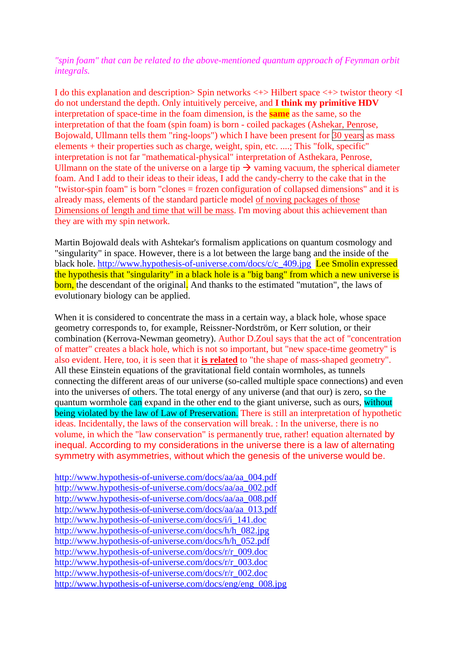### *"spin foam" that can be related to the above-mentioned quantum approach of Feynman orbit integrals.*

I do this explanation and description> Spin networks <+> Hilbert space <+> twistor theory <I do not understand the depth. Only intuitively perceive, and **I think my primitive HDV**  interpretation of space-time in the foam dimension, is the **same** as the same, so the interpretation of that the foam (spin foam) is born - coiled packages (Ashekar, Penrose, Bojowald, Ullmann tells them "ring-loops") which I have been present for 30 years as mass elements + their properties such as charge, weight, spin, etc. ....; This "folk, specific" interpretation is not far "mathematical-physical" interpretation of Asthekara, Penrose, Ullmann on the state of the universe on a large tip  $\rightarrow$  vaming vacuum, the spherical diameter foam. And I add to their ideas to their ideas, I add the candy-cherry to the cake that in the "twistor-spin foam" is born "clones = frozen configuration of collapsed dimensions" and it is already mass, elements of the standard particle model of noving packages of those Dimensions of length and time that will be mass. I'm moving about this achievement than they are with my spin network.

Martin Bojowald deals with Ashtekar's formalism applications on quantum cosmology and "singularity" in space. However, there is a lot between the large bang and the inside of the black hole. [http://www.hypothesis-of-universe.com/docs/c/c\\_409.jpg](http://www.hypothesis-of-universe.com/docs/c/c_409.jpg) Lee Smolin expressed the hypothesis that "singularity" in a black hole is a "big bang" from which a new universe is born, the descendant of the original. And thanks to the estimated "mutation", the laws of evolutionary biology can be applied.

When it is considered to concentrate the mass in a certain way, a black hole, whose space geometry corresponds to, for example, Reissner-Nordström, or Kerr solution, or their combination (Kerrova-Newman geometry). Author D.Zoul says that the act of "concentration of matter" creates a black hole, which is not so important, but "new space-time geometry" is also evident. Here, too, it is seen that it **is related** to "the shape of mass-shaped geometry". All these Einstein equations of the gravitational field contain wormholes, as tunnels connecting the different areas of our universe (so-called multiple space connections) and even into the universes of others. The total energy of any universe (and that our) is zero, so the quantum wormhole can expand in the other end to the giant universe, such as ours, without being violated by the law of Law of Preservation. There is still an interpretation of hypothetic ideas. Incidentally, the laws of the conservation will break. : In the universe, there is no volume, in which the "law conservation" is permanently true, rather! equation alternated by inequal. According to my considerations in the universe there is a law of alternating symmetry with asymmetries, without which the genesis of the universe would be.

[http://www.hypothesis-of-universe.com/docs/aa/aa\\_004.pdf](http://www.hypothesis-of-universe.com/docs/aa/aa_004.pdf) [http://www.hypothesis-of-universe.com/docs/aa/aa\\_002.pdf](http://www.hypothesis-of-universe.com/docs/aa/aa_002.pdf) [http://www.hypothesis-of-universe.com/docs/aa/aa\\_008.pdf](http://www.hypothesis-of-universe.com/docs/aa/aa_008.pdf) [http://www.hypothesis-of-universe.com/docs/aa/aa\\_013.pdf](http://www.hypothesis-of-universe.com/docs/aa/aa_013.pdf) [http://www.hypothesis-of-universe.com/docs/i/i\\_141.doc](http://www.hypothesis-of-universe.com/docs/i/i_141.doc) [http://www.hypothesis-of-universe.com/docs/h/h\\_082.jpg](http://www.hypothesis-of-universe.com/docs/h/h_082.jpg) [http://www.hypothesis-of-universe.com/docs/h/h\\_052.pdf](http://www.hypothesis-of-universe.com/docs/h/h_052.doc) [http://www.hypothesis-of-universe.com/docs/r/r\\_009.doc](http://www.hypothesis-of-universe.com/docs/r/r_009.doc) [http://www.hypothesis-of-universe.com/docs/r/r\\_003.doc](http://www.hypothesis-of-universe.com/docs/r/r_003.doc) [http://www.hypothesis-of-universe.com/docs/r/r\\_002.doc](http://www.hypothesis-of-universe.com/docs/r/r_002.doc) [http://www.hypothesis-of-universe.com/docs/eng/eng\\_008.jpg](http://www.hypothesis-of-universe.com/docs/eng/eng_008.jpg)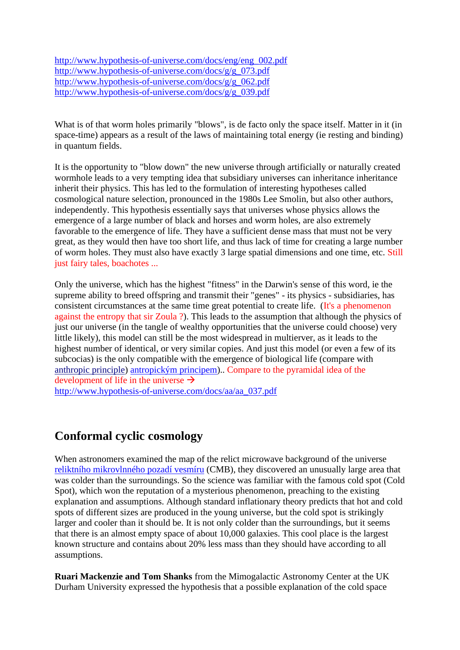[http://www.hypothesis-of-universe.com/docs/eng/eng\\_002.pdf](http://www.hypothesis-of-universe.com/docs/eng/eng_002.doc) [http://www.hypothesis-of-universe.com/docs/g/g\\_073.pdf](http://www.hypothesis-of-universe.com/docs/g/g_073.pdf) [http://www.hypothesis-of-universe.com/docs/g/g\\_062.pdf](http://www.hypothesis-of-universe.com/docs/g/g_062.pdf) [http://www.hypothesis-of-universe.com/docs/g/g\\_039.pdf](http://www.hypothesis-of-universe.com/docs/g/g_039.pdf)

What is of that worm holes primarily "blows", is de facto only the space itself. Matter in it (in space-time) appears as a result of the laws of maintaining total energy (ie resting and binding) in quantum fields.

It is the opportunity to "blow down" the new universe through artificially or naturally created wormhole leads to a very tempting idea that subsidiary universes can inheritance inheritance inherit their physics. This has led to the formulation of interesting hypotheses called cosmological nature selection, pronounced in the 1980s Lee Smolin, but also other authors, independently. This hypothesis essentially says that universes whose physics allows the emergence of a large number of black and horses and worm holes, are also extremely favorable to the emergence of life. They have a sufficient dense mass that must not be very great, as they would then have too short life, and thus lack of time for creating a large number of worm holes. They must also have exactly 3 large spatial dimensions and one time, etc. Still just fairy tales, boachotes ...

Only the universe, which has the highest "fitness" in the Darwin's sense of this word, ie the supreme ability to breed offspring and transmit their "genes" - its physics - subsidiaries, has consistent circumstances at the same time great potential to create life. (It's a phenomenon against the entropy that sir Zoula ?). This leads to the assumption that although the physics of just our universe (in the tangle of wealthy opportunities that the universe could choose) very little likely), this model can still be the most widespread in multierver, as it leads to the highest number of identical, or very similar copies. And just this model (or even a few of its subcocias) is the only compatible with the emergence of biological life (compare with anthropic principle) [antropickým principem\)](https://www.aldebaran.cz/glossary/print.php?id=1599).. Compare to the pyramidal idea of the development of life in the universe  $\rightarrow$ 

[http://www.hypothesis-of-universe.com/docs/aa/aa\\_037.pdf](http://www.hypothesis-of-universe.com/docs/aa/aa_037.pdf)

## **Conformal cyclic cosmology**

When astronomers examined the map of the relict microwave background of the universe [reliktního mikrovlnného pozadí vesmíru](https://www.aldebaran.cz/glossary/print.php?id=967) (CMB), they discovered an unusually large area that was colder than the surroundings. So the science was familiar with the famous cold spot (Cold Spot), which won the reputation of a mysterious phenomenon, preaching to the existing explanation and assumptions. Although standard inflationary theory predicts that hot and cold spots of different sizes are produced in the young universe, but the cold spot is strikingly larger and cooler than it should be. It is not only colder than the surroundings, but it seems that there is an almost empty space of about 10,000 galaxies. This cool place is the largest known structure and contains about 20% less mass than they should have according to all assumptions.

**Ruari Mackenzie and Tom Shanks** from the Mimogalactic Astronomy Center at the UK Durham University expressed the hypothesis that a possible explanation of the cold space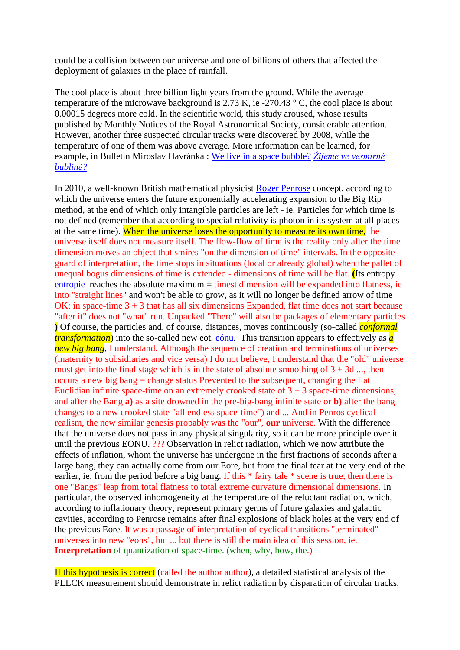could be a collision between our universe and one of billions of others that affected the deployment of galaxies in the place of rainfall.

The cool place is about three billion light years from the ground. While the average temperature of the microwave background is 2.73 K, ie -270.43  $\degree$  C, the cool place is about 0.00015 degrees more cold. In the scientific world, this study aroused, whose results published by Monthly Notices of the Royal Astronomical Society, considerable attention. However, another three suspected circular tracks were discovered by 2008, while the temperature of one of them was above average. More information can be learned, for example, in Bulletin Miroslav Havránka : We live in a space bubble? *[Žijeme ve vesmírné](https://www.aldebaran.cz/bulletin/2011_35_bub.php)  [bublině?](https://www.aldebaran.cz/bulletin/2011_35_bub.php)*

In 2010, a well-known British mathematical physicist [Roger Penrose](https://www.aldebaran.cz/famous/people/Penrose_Roger.php) concept, according to which the universe enters the future exponentially accelerating expansion to the Big Rip method, at the end of which only intangible particles are left - ie. Particles for which time is not defined (remember that according to special relativity is photon in its system at all places at the same time). When the universe loses the opportunity to measure its own time, the universe itself does not measure itself. The flow-flow of time is the reality only after the time dimension moves an object that smires "on the dimension of time" intervals. In the opposite guard of interpretation, the time stops in situations (local or already global) when the pallet of unequal bogus dimensions of time is extended - dimensions of time will be flat. **(**Its entropy [entropie](https://www.aldebaran.cz/glossary/print.php?id=1620) reaches the absolute maximum = timest dimension will be expanded into flatness, ie into "straight lines" and won't be able to grow, as it will no longer be defined arrow of time OK; in space-time 3 + 3 that has all six dimensions Expanded, flat time does not start because "after it" does not "what" run. Unpacked "There" will also be packages of elementary particles **)** Of course, the particles and, of course, distances, moves continuously (so-called *conformal transformation*) into the so-called new eot. [eónu.](https://www.aldebaran.cz/glossary/print.php?id=1511) This transition appears to effectively as *a new big bang*, I understand. Although the sequence of creation and terminations of universes (maternity to subsidiaries and vice versa) I do not believe, I understand that the "old" universe must get into the final stage which is in the state of absolute smoothing of  $3 + 3d$  ..., then occurs a new big bang = change status Prevented to the subsequent, changing the flat Euclidian infinite space-time on an extremely crooked state of  $3 + 3$  space-time dimensions, and after the Bang **a)** as a site drowned in the pre-big-bang infinite state or **b)** after the bang changes to a new crooked state "all endless space-time") and ... And in Penros cyclical realism, the new similar genesis probably was the "our", **our** universe. With the difference that the universe does not pass in any physical singularity, so it can be more principle over it until the previous EONU. ??? Observation in relict radiation, which we now attribute the effects of inflation, whom the universe has undergone in the first fractions of seconds after a large bang, they can actually come from our Eore, but from the final tear at the very end of the earlier, ie. from the period before a big bang. If this  $*$  fairy tale  $*$  scene is true, then there is one "Bangs" leap from total flatness to total extreme curvature dimensional dimensions. In particular, the observed inhomogeneity at the temperature of the reluctant radiation, which, according to inflationary theory, represent primary germs of future galaxies and galactic cavities, according to Penrose remains after final explosions of black holes at the very end of the previous Eore. It was a passage of interpretation of cyclical transitions "terminated" universes into new "eons", but ... but there is still the main idea of this session, ie. **Interpretation** of quantization of space-time. (when, why, how, the.)

If this hypothesis is correct (called the author author), a detailed statistical analysis of the PLLCK measurement should demonstrate in relict radiation by disparation of circular tracks,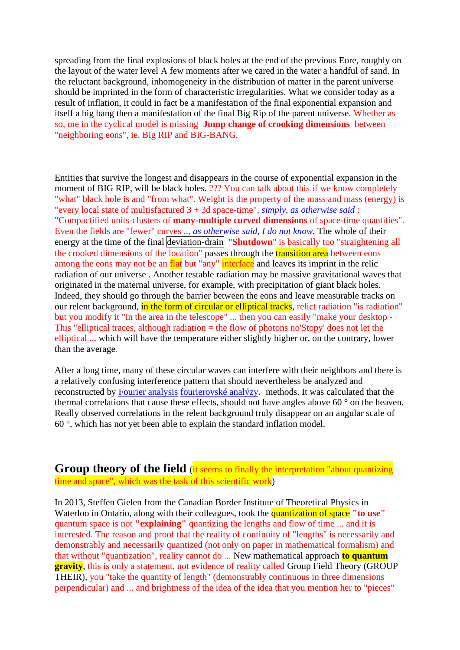spreading from the final explosions of black holes at the end of the previous Eore, roughly on the layout of the water level A few moments after we cared in the water a handful of sand. In the reluctant background, inhomogeneity in the distribution of matter in the parent universe should be imprinted in the form of characteristic irregularities. What we consider today as a result of inflation, it could in fact be a manifestation of the final exponential expansion and itself a big bang then a manifestation of the final Big Rip of the parent universe. Whether as so, me in the cyclical model is missing **Jump change of crooking dimensions** between "neighboring eons", ie. Big RIP and BIG-BANG.

Entities that survive the longest and disappears in the course of exponential expansion in the moment of BIG RIP, will be black holes. ??? You can talk about this if we know completely "what" black hole is and "from what". Weight is the property of the mass and mass (energy) is "every local state of multisfactured 3 + 3d space-time", *simply, as otherwise said* : "Compactified units-clusters of **many-multiple curved dimensions** of space-time quantities". Even the fields are "fewer" curves .., *as otherwise said, I do not know.* The whole of their energy at the time of the final deviation-drain "**Shutdown**" is basically too "straightening all the crooked dimensions of the  $\overline{\text{location}}$  passes through the transition area between eons among the eons may not be an flat but "any" interface and leaves its imprint in the relic radiation of our universe . Another testable radiation may be massive gravitational waves that originated in the maternal universe, for example, with precipitation of giant black holes. Indeed, they should go through the barrier between the eons and leave measurable tracks on our relent background, in the form of circular or elliptical tracks, relict radiation "is radiation" but you modify it "in the area in the telescope" ... then you can easily "make your desktop - This "elliptical traces, although radiation  $=$  the flow of photons no'Stopy' does not let the elliptical ... which will have the temperature either slightly higher or, on the contrary, lower than the average.

After a long time, many of these circular waves can interfere with their neighbors and there is a relatively confusing interference pattern that should nevertheless be analyzed and reconstructed by Fourier analysis [fourierovské analýzy](https://www.aldebaran.cz/glossary/print.php?id=1219). methods. It was calculated that the thermal correlations that cause these effects, should not have angles above 60 ° on the heaven. Really observed correlations in the relent background truly disappear on an angular scale of 60 °, which has not yet been able to explain the standard inflation model.

**Group theory of the field** (it seems to finally the interpretation "about quantizing") time and space", which was the task of this scientific work)

In 2013, Steffen Gielen from the Canadian Border Institute of Theoretical Physics in Waterloo in Ontario, along with their colleagues, took the quantization of space **"to use"** quantum space is not **"explaining"** quantizing the lengths and flow of time ... and it is interested. The reason and proof that the reality of continuity of "lengths" is necessarily and demonstrably and necessarily quantized (not only on paper in mathematical formalism) and that without "quantization", reality cannot do ... New mathematical approach **to quantum gravity**, this is only a statement, not evidence of reality called Group Field Theory (GROUP THEIR), you "take the quantity of length" (demonstrably continuous in three dimensions perpendicular) and ... and brightness of the idea of the idea that you mention her to "pieces"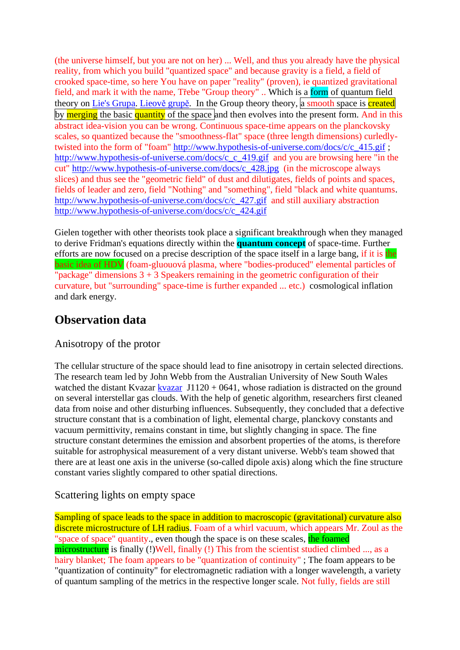(the universe himself, but you are not on her) ... Well, and thus you already have the physical reality, from which you build "quantized space" and because gravity is a field, a field of crooked space-time, so here You have on paper "reality" (proven), ie quantized gravitational field, and mark it with the name, Třebe "Group theory" .. Which is a form of quantum field theory on Lie's Grupa. [Lieově](https://www.aldebaran.cz/glossary/print.php?id=2530) grupě. In the Group theory theory, a smooth space is created by merging the basic quantity of the space and then evolves into the present form. And in this abstract idea-vision you can be wrong. Continuous space-time appears on the planckovsky scales, so quantized because the "smoothness-flat" space (three length dimensions) curledlytwisted into the form of "foam" [http://www.hypothesis-of-universe.com/docs/c/c\\_415.gif](http://www.hypothesis-of-universe.com/docs/c/c_415.gif) ; [http://www.hypothesis-of-universe.com/docs/c\\_c\\_419.gif](http://www.hypothesis-of-universe.com/docs/c_c_419.gif) and you are browsing here "in the cut" [http://www.hypothesis-of-universe.com/docs/c\\_428.jpg](http://www.hypothesis-of-universe.com/docs/c_428.jpg) (in the microscope always slices) and thus see the "geometric field" of dust and dilutigates, fields of points and spaces, fields of leader and zero, field "Nothing" and "something", field "black and white quantums. [http://www.hypothesis-of-universe.com/docs/c/c\\_427.gif](http://www.hypothesis-of-universe.com/docs/c/c_427.gif) and still auxiliary abstraction [http://www.hypothesis-of-universe.com/docs/c/c\\_424.gif](http://www.hypothesis-of-universe.com/docs/c/c_424.gif)

Gielen together with other theorists took place a significant breakthrough when they managed to derive Fridman's equations directly within the **quantum concept** of space-time. Further efforts are now focused on a precise description of the space itself in a large bang, if it is the basic idea of HDV (foam-gluouová plasma, where "bodies-produced" elemental particles of "package" dimensions  $3 + 3$  Speakers remaining in the geometric configuration of their curvature, but "surrounding" space-time is further expanded ... etc.) cosmological inflation and dark energy.

## **Observation data**

### Anisotropy of the protor

The cellular structure of the space should lead to fine anisotropy in certain selected directions. The research team led by John Webb from the Australian University of New South Wales watched the distant Kvazar [kvazar](https://www.aldebaran.cz/glossary/print.php?id=932)  $J1120 + 0641$ , whose radiation is distracted on the ground on several interstellar gas clouds. With the help of genetic algorithm, researchers first cleaned data from noise and other disturbing influences. Subsequently, they concluded that a defective structure constant that is a combination of light, elemental charge, planckovy constants and vacuum permittivity, remains constant in time, but slightly changing in space. The fine structure constant determines the emission and absorbent properties of the atoms, is therefore suitable for astrophysical measurement of a very distant universe. Webb's team showed that there are at least one axis in the universe (so-called dipole axis) along which the fine structure constant varies slightly compared to other spatial directions.

### Scattering lights on empty space

Sampling of space leads to the space in addition to macroscopic (gravitational) curvature also discrete microstructure of LH radius. Foam of a whirl vacuum, which appears Mr. Zoul as the "space of space" quantity, even though the space is on these scales, the foamed microstructure is finally (!)Well, finally (!) This from the scientist studied climbed ..., as a hairy blanket; The foam appears to be "quantization of continuity" ; The foam appears to be "quantization of continuity" for electromagnetic radiation with a longer wavelength, a variety of quantum sampling of the metrics in the respective longer scale. Not fully, fields are still